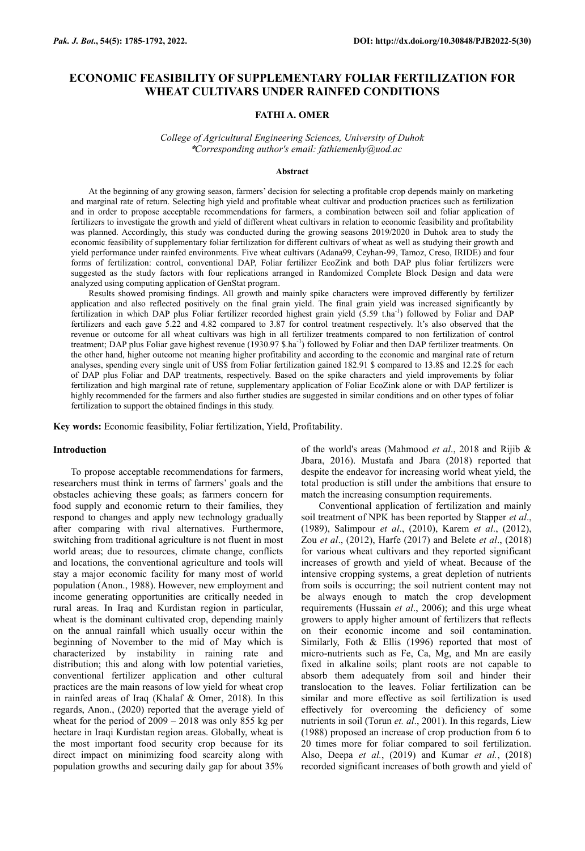# **ECONOMIC FEASIBILITY OF SUPPLEMENTARY FOLIAR FERTILIZATION FOR WHEAT CULTIVARS UNDER RAINFED CONDITIONS**

## **FATHI A. OMER**

*College of Agricultural Engineering Sciences, University of Duhok* \**Corresponding author's email: fathiemenky@uod.ac*

#### **Abstract**

At the beginning of any growing season, farmers' decision for selecting a profitable crop depends mainly on marketing and marginal rate of return. Selecting high yield and profitable wheat cultivar and production practices such as fertilization and in order to propose acceptable recommendations for farmers, a combination between soil and foliar application of fertilizers to investigate the growth and yield of different wheat cultivars in relation to economic feasibility and profitability was planned. Accordingly, this study was conducted during the growing seasons 2019/2020 in Duhok area to study the economic feasibility of supplementary foliar fertilization for different cultivars of wheat as well as studying their growth and yield performance under rainfed environments. Five wheat cultivars (Adana99, Ceyhan-99, Tamoz, Creso, IRIDE) and four forms of fertilization: control, conventional DAP, Foliar fertilizer EcoZink and both DAP plus foliar fertilizers were suggested as the study factors with four replications arranged in Randomized Complete Block Design and data were analyzed using computing application of GenStat program.

Results showed promising findings. All growth and mainly spike characters were improved differently by fertilizer application and also reflected positively on the final grain yield. The final grain yield was increased significantly by fertilization in which DAP plus Foliar fertilizer recorded highest grain yield (5.59 t.ha<sup>-1</sup>) followed by Foliar and DAP fertilizers and each gave 5.22 and 4.82 compared to 3.87 for control treatment respectively. It's also observed that the revenue or outcome for all wheat cultivars was high in all fertilizer treatments compared to non fertilization of control treatment; DAP plus Foliar gave highest revenue (1930.97 \$.ha<sup>-1</sup>) followed by Foliar and then DAP fertilizer treatments. On the other hand, higher outcome not meaning higher profitability and according to the economic and marginal rate of return analyses, spending every single unit of US\$ from Foliar fertilization gained 182.91 \$ compared to 13.8\$ and 12.2\$ for each of DAP plus Foliar and DAP treatments, respectively. Based on the spike characters and yield improvements by foliar fertilization and high marginal rate of retune, supplementary application of Foliar EcoZink alone or with DAP fertilizer is highly recommended for the farmers and also further studies are suggested in similar conditions and on other types of foliar fertilization to support the obtained findings in this study.

**Key words:** Economic feasibility, Foliar fertilization, Yield, Profitability.

### **Introduction**

To propose acceptable recommendations for farmers, researchers must think in terms of farmers' goals and the obstacles achieving these goals; as farmers concern for food supply and economic return to their families, they respond to changes and apply new technology gradually after comparing with rival alternatives. Furthermore, switching from traditional agriculture is not fluent in most world areas; due to resources, climate change, conflicts and locations, the conventional agriculture and tools will stay a major economic facility for many most of world population (Anon., 1988). However, new employment and income generating opportunities are critically needed in rural areas. In Iraq and Kurdistan region in particular, wheat is the dominant cultivated crop, depending mainly on the annual rainfall which usually occur within the beginning of November to the mid of May which is characterized by instability in raining rate and distribution; this and along with low potential varieties, conventional fertilizer application and other cultural practices are the main reasons of low yield for wheat crop in rainfed areas of Iraq (Khalaf & Omer, 2018). In this regards, Anon., (2020) reported that the average yield of wheat for the period of  $2009 - 2018$  was only 855 kg per hectare in Iraqi Kurdistan region areas. Globally, wheat is the most important food security crop because for its direct impact on minimizing food scarcity along with population growths and securing daily gap for about 35%

of the world's areas (Mahmood *et al*., 2018 and Rijib & Jbara, 2016). Mustafa and Jbara (2018) reported that despite the endeavor for increasing world wheat yield, the total production is still under the ambitions that ensure to match the increasing consumption requirements.

Conventional application of fertilization and mainly soil treatment of NPK has been reported by Stapper *et al*., (1989), Salimpour *et al*., (2010), Karem *et al*., (2012), Zou *et al*., (2012), Harfe (2017) and Belete *et al*., (2018) for various wheat cultivars and they reported significant increases of growth and yield of wheat. Because of the intensive cropping systems, a great depletion of nutrients from soils is occurring; the soil nutrient content may not be always enough to match the crop development requirements (Hussain *et al*., 2006); and this urge wheat growers to apply higher amount of fertilizers that reflects on their economic income and soil contamination. Similarly, Foth & Ellis (1996) reported that most of micro-nutrients such as Fe, Ca, Mg, and Mn are easily fixed in alkaline soils; plant roots are not capable to absorb them adequately from soil and hinder their translocation to the leaves. Foliar fertilization can be similar and more effective as soil fertilization is used effectively for overcoming the deficiency of some nutrients in soil (Torun *et. al*., 2001). In this regards, Liew (1988) proposed an increase of crop production from 6 to 20 times more for foliar compared to soil fertilization. Also, Deepa *et al.*, (2019) and Kumar *et al.*, (2018) recorded significant increases of both growth and yield of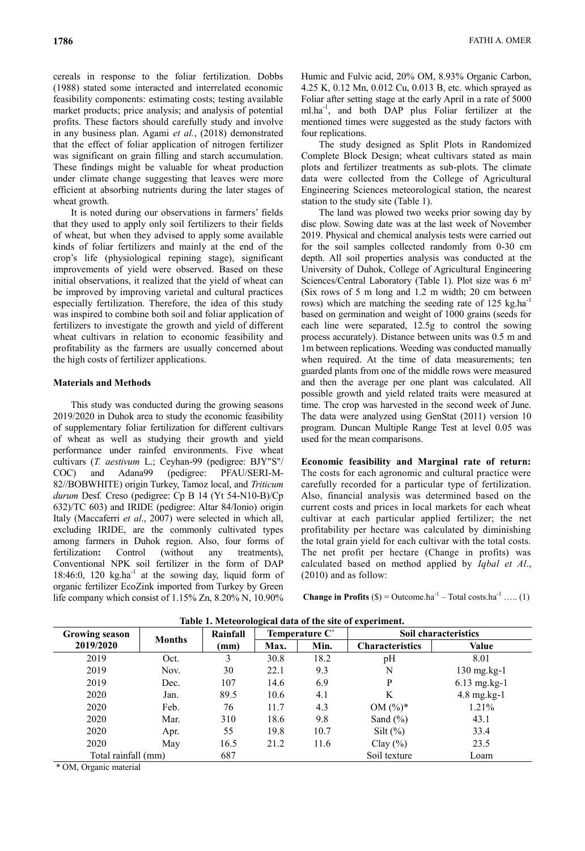cereals in response to the foliar fertilization. Dobbs (1988) stated some interacted and interrelated economic feasibility components: estimating costs; testing available market products; price analysis; and analysis of potential profits. These factors should carefully study and involve in any business plan. Agami *et al.*, (2018) demonstrated that the effect of foliar application of nitrogen fertilizer was significant on grain filling and starch accumulation. These findings might be valuable for wheat production under climate change suggesting that leaves were more efficient at absorbing nutrients during the later stages of wheat growth.

It is noted during our observations in farmers' fields that they used to apply only soil fertilizers to their fields of wheat, but when they advised to apply some available kinds of foliar fertilizers and mainly at the end of the crop's life (physiological repining stage), significant improvements of yield were observed. Based on these initial observations, it realized that the yield of wheat can be improved by improving varietal and cultural practices especially fertilization. Therefore, the idea of this study was inspired to combine both soil and foliar application of fertilizers to investigate the growth and yield of different wheat cultivars in relation to economic feasibility and profitability as the farmers are usually concerned about the high costs of fertilizer applications.

# **Materials and Methods**

This study was conducted during the growing seasons 2019/2020 in Duhok area to study the economic feasibility of supplementary foliar fertilization for different cultivars of wheat as well as studying their growth and yield performance under rainfed environments. Five wheat cultivars (*T. aestivum* L.; Ceyhan-99 (pedigree: BJY"S"/ COC) and Adana99 (pedigree: PFAU/SERI-M-82//BOBWHITE) origin Turkey, Tamoz local, and *Triticum durum* Desf*.* Creso (pedigree: Cp B 14 (Yt 54-N10-B)/Cp 632)/TC 603) and IRIDE (pedigree: Altar 84/Ionio) origin Italy (Maccaferri *et al*., 2007) were selected in which all, excluding IRIDE, are the commonly cultivated types among farmers in Duhok region. Also, four forms of fertilization: Control (without any treatments), Conventional NPK soil fertilizer in the form of DAP  $18:46:0$ ,  $120 \text{ kg.ha}^{-1}$  at the sowing day, liquid form of organic fertilizer EcoZink imported from Turkey by Green life company which consist of 1.15% Zn, 8.20% N, 10.90%

Humic and Fulvic acid, 20% OM, 8.93% Organic Carbon, 4.25 K, 0.12 Mn, 0.012 Cu, 0.013 B, etc. which sprayed as Foliar after setting stage at the early April in a rate of 5000 ml.ha-1 , and both DAP plus Foliar fertilizer at the mentioned times were suggested as the study factors with four replications.

The study designed as Split Plots in Randomized Complete Block Design; wheat cultivars stated as main plots and fertilizer treatments as sub-plots. The climate data were collected from the College of Agricultural Engineering Sciences meteorological station, the nearest station to the study site (Table 1).

The land was plowed two weeks prior sowing day by disc plow. Sowing date was at the last week of November 2019. Physical and chemical analysis tests were carried out for the soil samples collected randomly from 0-30 cm depth. All soil properties analysis was conducted at the University of Duhok, College of Agricultural Engineering Sciences/Central Laboratory (Table 1). Plot size was 6 m² (Six rows of 5 m long and 1.2 m width; 20 cm between rows) which are matching the seeding rate of 125 kg.ha<sup>-1</sup> based on germination and weight of 1000 grains (seeds for each line were separated, 12.5g to control the sowing process accurately). Distance between units was 0.5 m and 1m between replications. Weeding was conducted manually when required. At the time of data measurements; ten guarded plants from one of the middle rows were measured and then the average per one plant was calculated. All possible growth and yield related traits were measured at time. The crop was harvested in the second week of June. The data were analyzed using GenStat (2011) version 10 program. Duncan Multiple Range Test at level 0.05 was used for the mean comparisons.

**Economic feasibility and Marginal rate of return:**  The costs for each agronomic and cultural practice were carefully recorded for a particular type of fertilization. Also, financial analysis was determined based on the current costs and prices in local markets for each wheat cultivar at each particular applied fertilizer; the net profitability per hectare was calculated by diminishing the total grain yield for each cultivar with the total costs. The net profit per hectare (Change in profits) was calculated based on method applied by *Iqbal et Al*., (2010) and as follow:

**Change in Profits**  $(\$) =$  Outcome.ha<sup>-1</sup> – Total costs.ha<sup>-1</sup> ….. (1)

| <b>Growing season</b> | <b>Months</b> | Rainfall | Temperature C° |      | <b>Soil characteristics</b> |                  |
|-----------------------|---------------|----------|----------------|------|-----------------------------|------------------|
| 2019/2020             |               | (mm)     | Max.           | Min. | <b>Characteristics</b>      | Value            |
| 2019                  | Oct.          |          | 30.8           | 18.2 | pH                          | 8.01             |
| 2019                  | Nov.          | 30       | 22.1           | 9.3  | N                           | $130$ mg.kg- $1$ |
| 2019                  | Dec.          | 107      | 14.6           | 6.9  | P                           | $6.13$ mg.kg-1   |
| 2020                  | Jan.          | 89.5     | 10.6           | 4.1  | K                           | $4.8$ mg.kg-1    |
| 2020                  | Feb.          | 76       | 11.7           | 4.3  | OM $(\%)^*$                 | 1.21%            |
| 2020                  | Mar.          | 310      | 18.6           | 9.8  | Sand $(\% )$                | 43.1             |
| 2020                  | Apr.          | 55       | 19.8           | 10.7 | Silt $(\% )$                | 33.4             |
| 2020                  | May           | 16.5     | 21.2           | 11.6 | Clay $(\% )$                | 23.5             |
| Total rainfall (mm)   |               | 687      |                |      | Soil texture                | Loam             |

**Table 1. Meteorological data of the site of experiment.**

\* OM, Organic material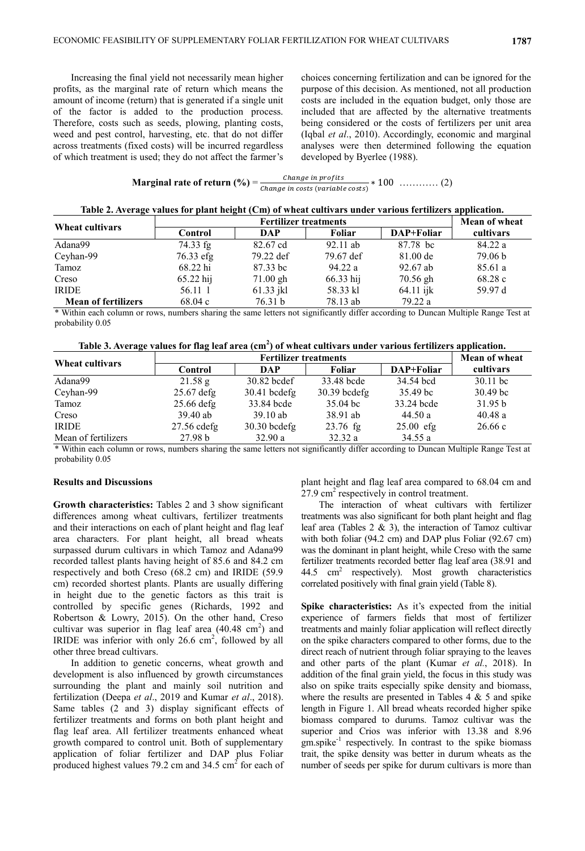Increasing the final yield not necessarily mean higher profits, as the marginal rate of return which means the amount of income (return) that is generated if a single unit of the factor is added to the production process. Therefore, costs such as seeds, plowing, planting costs, weed and pest control, harvesting, etc. that do not differ across treatments (fixed costs) will be incurred regardless of which treatment is used; they do not affect the farmer's choices concerning fertilization and can be ignored for the purpose of this decision. As mentioned, not all production costs are included in the equation budget, only those are included that are affected by the alternative treatments being considered or the costs of fertilizers per unit area (Iqbal *et al*., 2010). Accordingly, economic and marginal analyses were then determined following the equation developed by Byerlee (1988).

| Marginal rate of return $(\% )$ = | Change in profits                |  |
|-----------------------------------|----------------------------------|--|
|                                   | Change in costs (variable costs) |  |

|  |  |  | Table 2. Average values for plant height (Cm) of wheat cultivars under various fertilizers application. |
|--|--|--|---------------------------------------------------------------------------------------------------------|
|--|--|--|---------------------------------------------------------------------------------------------------------|

| Wheat cultivars            |           | <b>Mean of wheat</b> |            |             |           |
|----------------------------|-----------|----------------------|------------|-------------|-----------|
|                            | Control   | DAP                  | Foliar     | DAP+Foliar  | cultivars |
| Adana99                    | 74.33 fg  | 82.67 cd             | $92.11$ ab | 87.78 bc    | 84.22 a   |
| Ceyhan-99                  | 76.33 efg | 79.22 def            | 79.67 def  | 81.00 de    | 79.06 b   |
| Tamoz                      | 68.22 hi  | 87.33 bc             | 94.22 a    | 92.67 ab    | 85.61 a   |
| Creso                      | 65.22 hij | $71.00$ gh           | 66.33 hij  | $70.56$ gh  | 68.28c    |
| <b>IRIDE</b>               | 56.11 1   | $61.33$ jkl          | 58.33 kl   | $64.11$ ijk | 59.97 d   |
| <b>Mean of fertilizers</b> | 68.04c    | 76.31 b              | 78.13 ab   | 79.22 a     |           |

\* Within each column or rows, numbers sharing the same letters not significantly differ according to Duncan Multiple Range Test at probability 0.05

| Table 3. Average values for flag leaf area $(cm2)$ of wheat cultivars under various fertilizers application. |  |  |
|--------------------------------------------------------------------------------------------------------------|--|--|
|                                                                                                              |  |  |

| Wheat cultivars     |               | Mean of wheat  |                    |             |                     |
|---------------------|---------------|----------------|--------------------|-------------|---------------------|
|                     | Control       | <b>DAP</b>     | Foliar             | DAP+Foliar  | cultivars           |
| Adana99             | 21.58 g       | 30.82 bcdef    | 33.48 bcde         | 34.54 bcd   | $30.11$ bc          |
| Ceyhan-99           | $25.67$ defg  | $30.41$ bcdefg | $30.39$ bcdefg     | 35.49 bc    | 30.49 <sub>bc</sub> |
| Tamoz               | $25.66$ defg  | 33.84 bcde     | $35.04 \text{ bc}$ | 33.24 bcde  | 31.95 b             |
| Creso               | $39.40$ ab    | $39.10$ ab     | 38.91 ab           | 44.50a      | 40.48a              |
| <b>IRIDE</b>        | $27.56$ cdefg | $30.30$ bcdefg | $23.76$ fg         | $25.00$ efg | 26.66c              |
| Mean of fertilizers | 27.98 b       | 32.90 a        | 32.32 a            | 34.55 a     |                     |

\* Within each column or rows, numbers sharing the same letters not significantly differ according to Duncan Multiple Range Test at probability 0.05

### **Results and Discussions**

**Growth characteristics:** Tables 2 and 3 show significant differences among wheat cultivars, fertilizer treatments and their interactions on each of plant height and flag leaf area characters. For plant height, all bread wheats surpassed durum cultivars in which Tamoz and Adana99 recorded tallest plants having height of 85.6 and 84.2 cm respectively and both Creso (68.2 cm) and IRIDE (59.9 cm) recorded shortest plants. Plants are usually differing in height due to the genetic factors as this trait is controlled by specific genes (Richards, 1992 and Robertson & Lowry, 2015). On the other hand, Creso cultivar was superior in flag leaf area  $(40.48 \text{ cm}^2)$  and IRIDE was inferior with only  $26.6 \text{ cm}^2$ , followed by all other three bread cultivars.

In addition to genetic concerns, wheat growth and development is also influenced by growth circumstances surrounding the plant and mainly soil nutrition and fertilization (Deepa *et al*., 2019 and Kumar *et al*., 2018). Same tables (2 and 3) display significant effects of fertilizer treatments and forms on both plant height and flag leaf area. All fertilizer treatments enhanced wheat growth compared to control unit. Both of supplementary application of foliar fertilizer and DAP plus Foliar produced highest values 79.2 cm and 34.5  $\text{cm}^2$  for each of plant height and flag leaf area compared to 68.04 cm and  $27.9 \text{ cm}^2$  respectively in control treatment.

The interaction of wheat cultivars with fertilizer treatments was also significant for both plant height and flag leaf area (Tables 2 & 3), the interaction of Tamoz cultivar with both foliar (94.2 cm) and DAP plus Foliar (92.67 cm) was the dominant in plant height, while Creso with the same fertilizer treatments recorded better flag leaf area (38.91 and  $44.5$  cm<sup>2</sup> respectively). Most growth characteristics correlated positively with final grain yield (Table 8).

**Spike characteristics:** As it's expected from the initial experience of farmers fields that most of fertilizer treatments and mainly foliar application will reflect directly on the spike characters compared to other forms, due to the direct reach of nutrient through foliar spraying to the leaves and other parts of the plant (Kumar *et al.*, 2018). In addition of the final grain yield, the focus in this study was also on spike traits especially spike density and biomass, where the results are presented in Tables  $4 \& 5$  and spike length in Figure 1. All bread wheats recorded higher spike biomass compared to durums. Tamoz cultivar was the superior and Crios was inferior with 13.38 and 8.96 gm.spike<sup>-1</sup> respectively. In contrast to the spike biomass trait, the spike density was better in durum wheats as the number of seeds per spike for durum cultivars is more than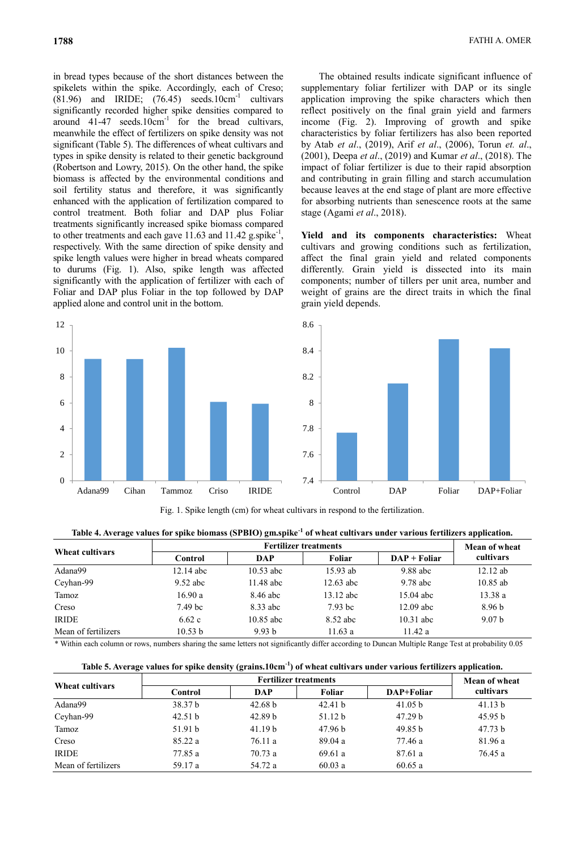in bread types because of the short distances between the spikelets within the spike. Accordingly, each of Creso;  $(81.96)$  and IRIDE;  $(76.45)$  seeds.10cm<sup>-1</sup> cultivars significantly recorded higher spike densities compared to around  $41-47$  seeds. $10 \text{cm}^{-1}$  for the bread cultivars, meanwhile the effect of fertilizers on spike density was not significant (Table 5). The differences of wheat cultivars and types in spike density is related to their genetic background (Robertson and Lowry, 2015). On the other hand, the spike biomass is affected by the environmental conditions and soil fertility status and therefore, it was significantly enhanced with the application of fertilization compared to control treatment. Both foliar and DAP plus Foliar treatments significantly increased spike biomass compared to other treatments and each gave 11.63 and 11.42 g.spike<sup>-1</sup>, respectively. With the same direction of spike density and spike length values were higher in bread wheats compared to durums (Fig. 1). Also, spike length was affected significantly with the application of fertilizer with each of Foliar and DAP plus Foliar in the top followed by DAP applied alone and control unit in the bottom.



The obtained results indicate significant influence of supplementary foliar fertilizer with DAP or its single application improving the spike characters which then reflect positively on the final grain yield and farmers income (Fig. 2). Improving of growth and spike characteristics by foliar fertilizers has also been reported by Atab *et al*., (2019), Arif *et al*., (2006), Torun *et. al*., (2001), Deepa *et al*., (2019) and Kumar *et al*., (2018). The impact of foliar fertilizer is due to their rapid absorption and contributing in grain filling and starch accumulation because leaves at the end stage of plant are more effective for absorbing nutrients than senescence roots at the same stage (Agami *et al*., 2018).

**Yield and its components characteristics:** Wheat cultivars and growing conditions such as fertilization, affect the final grain yield and related components differently. Grain yield is dissected into its main components; number of tillers per unit area, number and weight of grains are the direct traits in which the final grain yield depends.



Fig. 1. Spike length (cm) for wheat cultivars in respond to the fertilization.

| Table 4. Average values for spike biomass (SPBIO) gm.spike <sup>-1</sup> of wheat cultivars under various fertilizers application. |  |
|------------------------------------------------------------------------------------------------------------------------------------|--|
|------------------------------------------------------------------------------------------------------------------------------------|--|

| Wheat cultivars     |                    | <b>Mean of wheat</b> |             |                |                   |
|---------------------|--------------------|----------------------|-------------|----------------|-------------------|
|                     | Control            | DAP                  | Foliar      | $DAP + Foliar$ | cultivars         |
| Adana99             | $12.14$ abc        | $10.53$ abc          | $15.93$ ab  | $9.88$ abc     | $12.12$ ab        |
| Ceyhan-99           | $9.52$ abc         | $11.48$ abc          | $12.63$ abc | $9.78$ abc     | $10.85$ ab        |
| Tamoz               | 16.90 a            | 8.46 abc             | $13.12$ abc | $15.04$ abc    | 13.38a            |
| Creso               | 7.49 <sub>bc</sub> | 8.33 abc             | $7.93$ bc   | $12.09$ abc    | 8.96 <sub>b</sub> |
| <b>IRIDE</b>        | 6.62c              | $10.85$ abc          | 8.52 abc    | $10.31$ abc    | 9.07 <sub>b</sub> |
| Mean of fertilizers | 10.53 b            | 9.93 <sub>b</sub>    | 11.63a      | 11.42 a        |                   |

\* Within each column or rows, numbers sharing the same letters not significantly differ according to Duncan Multiple Range Test at probability 0.05

**Table 5. Average values for spike density (grains.10cm-1 ) of wheat cultivars under various fertilizers application.**

| Wheat cultivars     |         | Mean of wheat      |                    |                    |           |
|---------------------|---------|--------------------|--------------------|--------------------|-----------|
|                     | Control | <b>DAP</b>         | <b>Foliar</b>      | DAP+Foliar         | cultivars |
| Adana99             | 38.37 b | 42.68 b            | 42.41 b            | 41.05 b            | 41.13 b   |
| Ceyhan-99           | 42.51 b | 42.89 <sub>b</sub> | 51.12 <sub>b</sub> | 47.29 <sub>b</sub> | 45.95 b   |
| Tamoz               | 51.91 b | 41.19 <sub>b</sub> | 47.96 b            | 49.85 b            | 47.73 b   |
| Creso               | 85.22 a | 76.11a             | 89.04a             | 77.46 a            | 81.96 a   |
| <b>IRIDE</b>        | 77.85 a | 70.73a             | 69.61a             | 87.61 a            | 76.45 a   |
| Mean of fertilizers | 59.17 a | 54.72 a            | 60.03a             | 60.65a             |           |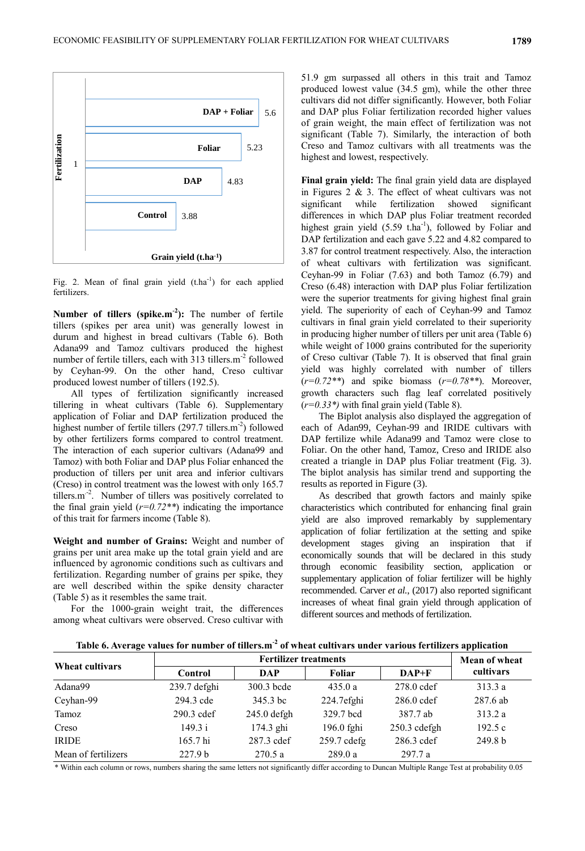

Fig. 2. Mean of final grain yield  $(t.ha^{-1})$  for each applied fertilizers.

Number of tillers (spike.m<sup>-2</sup>): The number of fertile tillers (spikes per area unit) was generally lowest in durum and highest in bread cultivars (Table 6). Both Adana99 and Tamoz cultivars produced the highest number of fertile tillers, each with  $313$  tillers.m<sup>-2</sup> followed by Ceyhan-99. On the other hand, Creso cultivar produced lowest number of tillers (192.5).

All types of fertilization significantly increased tillering in wheat cultivars (Table 6). Supplementary application of Foliar and DAP fertilization produced the highest number of fertile tillers (297.7 tillers.m<sup>-2</sup>) followed by other fertilizers forms compared to control treatment. The interaction of each superior cultivars (Adana99 and Tamoz) with both Foliar and DAP plus Foliar enhanced the production of tillers per unit area and inferior cultivars (Creso) in control treatment was the lowest with only 165.7 tillers.m<sup>-2</sup>. Number of tillers was positively correlated to the final grain yield  $(r=0.72^{**})$  indicating the importance of this trait for farmers income (Table 8).

**Weight and number of Grains:** Weight and number of grains per unit area make up the total grain yield and are influenced by agronomic conditions such as cultivars and fertilization. Regarding number of grains per spike, they are well described within the spike density character (Table 5) as it resembles the same trait.

For the 1000-grain weight trait, the differences among wheat cultivars were observed. Creso cultivar with

51.9 gm surpassed all others in this trait and Tamoz produced lowest value (34.5 gm), while the other three cultivars did not differ significantly. However, both Foliar and DAP plus Foliar fertilization recorded higher values of grain weight, the main effect of fertilization was not significant (Table 7). Similarly, the interaction of both Creso and Tamoz cultivars with all treatments was the highest and lowest, respectively.

**Final grain yield:** The final grain yield data are displayed in Figures 2 & 3. The effect of wheat cultivars was not significant while fertilization showed significant differences in which DAP plus Foliar treatment recorded highest grain yield  $(5.59 \text{ t.ha}^{-1})$ , followed by Foliar and DAP fertilization and each gave 5.22 and 4.82 compared to 3.87 for control treatment respectively. Also, the interaction of wheat cultivars with fertilization was significant. Ceyhan-99 in Foliar (7.63) and both Tamoz (6.79) and Creso (6.48) interaction with DAP plus Foliar fertilization were the superior treatments for giving highest final grain yield. The superiority of each of Ceyhan-99 and Tamoz cultivars in final grain yield correlated to their superiority in producing higher number of tillers per unit area (Table 6) while weight of 1000 grains contributed for the superiority of Creso cultivar (Table 7). It is observed that final grain yield was highly correlated with number of tillers (*r=0.72\*\**) and spike biomass (*r=0.78\*\**). Moreover, growth characters such flag leaf correlated positively  $(r=0.33^*)$  with final grain yield (Table 8).

The Biplot analysis also displayed the aggregation of each of Adan99, Ceyhan-99 and IRIDE cultivars with DAP fertilize while Adana99 and Tamoz were close to Foliar. On the other hand, Tamoz, Creso and IRIDE also created a triangle in DAP plus Foliar treatment (Fig. 3). The biplot analysis has similar trend and supporting the results as reported in Figure (3).

As described that growth factors and mainly spike characteristics which contributed for enhancing final grain yield are also improved remarkably by supplementary application of foliar fertilization at the setting and spike development stages giving an inspiration that if economically sounds that will be declared in this study through economic feasibility section, application or supplementary application of foliar fertilizer will be highly recommended. Carver *et al.*, (2017) also reported significant increases of wheat final grain yield through application of different sources and methods of fertilization.

| Table 6. Average values for number of tillers.m <sup>-2</sup> of wheat cultivars under various fertilizers application |
|------------------------------------------------------------------------------------------------------------------------|
|                                                                                                                        |

| Wheat cultivars     |                    | Mean of wheat |               |              |           |
|---------------------|--------------------|---------------|---------------|--------------|-----------|
|                     | Control            | DAP           | Foliar        | $DAP+F$      | cultivars |
| Adana99             | 239.7 defghi       | 300.3 bcde    | 435.0 a       | 278.0 cdef   | 313.3a    |
| Ceyhan-99           | 294.3 cde          | 345.3 bc      | 224.7efghi    | $286.0$ cdef | 287.6 ab  |
| Tamoz               | 290.3 cdef         | $245.0$ defgh | 329.7 bcd     | 387.7 ab     | 313.2 a   |
| Creso               | 149.3 i            | 174.3 ghi     | 196.0 fghi    | 250.3 cdefgh | 192.5c    |
| <b>IRIDE</b>        | 165.7 hi           | 287.3 cdef    | $259.7$ cdefg | 286.3 cdef   | 249.8 b   |
| Mean of fertilizers | 227.9 <sub>b</sub> | 270.5a        | 289.0a        | 297.7 a      |           |

\* Within each column or rows, numbers sharing the same letters not significantly differ according to Duncan Multiple Range Test at probability 0.05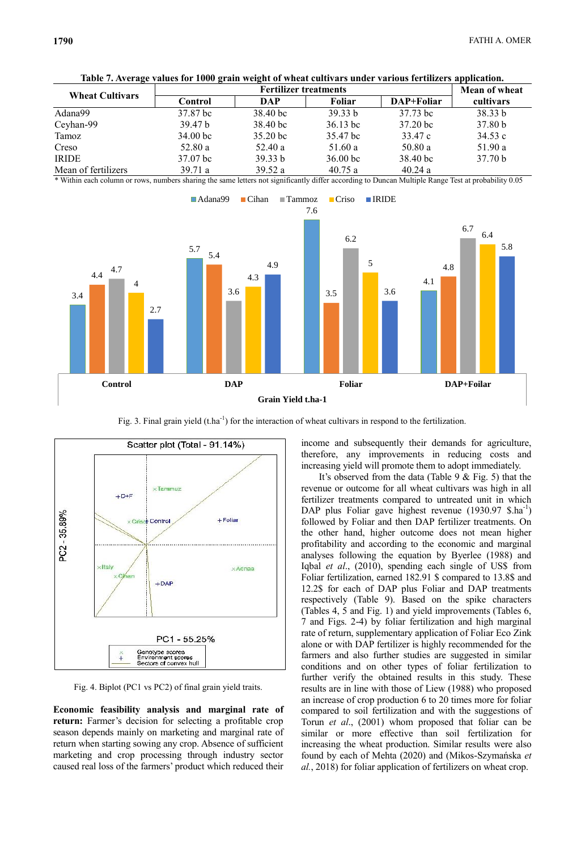| <b>Wheat Cultivars</b> |                    | <b>Mean of wheat</b>  |                     |                       |                    |
|------------------------|--------------------|-----------------------|---------------------|-----------------------|--------------------|
|                        | Control            | <b>DAP</b>            | Foliar              | DAP+Foliar            | cultivars          |
| Adana99                | 37.87 bc           | $38.40 \,\mathrm{bc}$ | 39.33 <sub>b</sub>  | 37.73 bc              | 38.33 b            |
| Ceyhan-99              | 39.47 b            | 38.40 bc              | $36.13 \text{ bc}$  | $37.20 \,\mathrm{bc}$ | 37.80 b            |
| Tamoz                  | $34.00 \text{ bc}$ | 35.20 <sub>bc</sub>   | 35.47 bc            | 33.47 c               | 34.53c             |
| Creso                  | 52.80 a            | 52.40 a               | 51.60 a             | 50.80a                | 51.90 a            |
| <b>IRIDE</b>           | 37.07 bc           | 39.33 b               | 36.00 <sub>bc</sub> | $38.40 \text{ bc}$    | 37.70 <sub>b</sub> |
| Mean of fertilizers    | 39.71a             | 39.52 $a$             | 40.75a              | 40.24a                |                    |

**Table 7. Average values for 1000 grain weight of wheat cultivars under various fertilizers application.**

\* Within each column or rows, numbers sharing the same letters not significantly differ according to Duncan Multiple Range Test at probability 0.05



Fig. 3. Final grain yield  $(t \cdot ha^{-1})$  for the interaction of wheat cultivars in respond to the fertilization.



Fig. 4. Biplot (PC1 vs PC2) of final grain yield traits.

**Economic feasibility analysis and marginal rate of return:** Farmer's decision for selecting a profitable crop season depends mainly on marketing and marginal rate of return when starting sowing any crop. Absence of sufficient marketing and crop processing through industry sector caused real loss of the farmers' product which reduced their

income and subsequently their demands for agriculture, therefore, any improvements in reducing costs and increasing yield will promote them to adopt immediately.

It's observed from the data (Table 9 & Fig. 5) that the revenue or outcome for all wheat cultivars was high in all fertilizer treatments compared to untreated unit in which DAP plus Foliar gave highest revenue (1930.97 \$.ha<sup>-1</sup>) followed by Foliar and then DAP fertilizer treatments. On the other hand, higher outcome does not mean higher profitability and according to the economic and marginal analyses following the equation by Byerlee (1988) and Iqbal *et al*., (2010), spending each single of US\$ from Foliar fertilization, earned 182.91 \$ compared to 13.8\$ and 12.2\$ for each of DAP plus Foliar and DAP treatments respectively (Table 9). Based on the spike characters (Tables 4, 5 and Fig. 1) and yield improvements (Tables 6, 7 and Figs. 2-4) by foliar fertilization and high marginal rate of return, supplementary application of Foliar Eco Zink alone or with DAP fertilizer is highly recommended for the farmers and also further studies are suggested in similar conditions and on other types of foliar fertilization to further verify the obtained results in this study. These results are in line with those of Liew (1988) who proposed an increase of crop production 6 to 20 times more for foliar compared to soil fertilization and with the suggestions of Torun *et al*., (2001) whom proposed that foliar can be similar or more effective than soil fertilization for increasing the wheat production. Similar results were also found by each of Mehta (2020) and (Mikos-Szymańska *et al.*, 2018) for foliar application of fertilizers on wheat crop.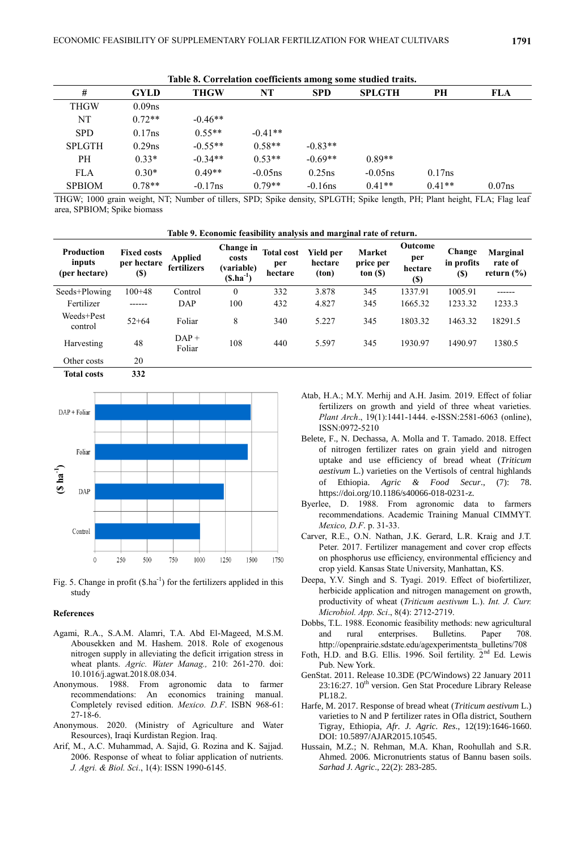| Table 8. Correlation coefficients among some studied traits. |                    |             |            |            |               |          |           |  |  |  |  |  |  |
|--------------------------------------------------------------|--------------------|-------------|------------|------------|---------------|----------|-----------|--|--|--|--|--|--|
| #                                                            | <b>GYLD</b>        | <b>THGW</b> | NT         | <b>SPD</b> | <b>SPLGTH</b> | PН       | FLA       |  |  |  |  |  |  |
| <b>THGW</b>                                                  | 0.09 <sub>ns</sub> |             |            |            |               |          |           |  |  |  |  |  |  |
| NT                                                           | $0.72**$           | $-0.46**$   |            |            |               |          |           |  |  |  |  |  |  |
| <b>SPD</b>                                                   | 0.17ns             | $0.55**$    | $-0.41**$  |            |               |          |           |  |  |  |  |  |  |
| <b>SPLGTH</b>                                                | 0.29ns             | $-0.55**$   | $0.58**$   | $-0.83**$  |               |          |           |  |  |  |  |  |  |
| PН                                                           | $0.33*$            | $-0.34**$   | $0.53**$   | $-0.69**$  | $0.89**$      |          |           |  |  |  |  |  |  |
| <b>FLA</b>                                                   | $0.30*$            | $0.49**$    | $-0.05$ ns | $0.25$ ns  | $-0.05$ ns    | 0.17ns   |           |  |  |  |  |  |  |
| <b>SPBIOM</b>                                                | $0.78**$           | $-0.17$ ns  | $0.79**$   | $-0.16$ ns | $0.41**$      | $0.41**$ | $0.07$ ns |  |  |  |  |  |  |

THGW; 1000 grain weight, NT; Number of tillers, SPD; Spike density, SPLGTH; Spike length, PH; Plant height, FLA; Flag leaf area, SPBIOM; Spike biomass

| Table 9. Economic feasibility analysis and marginal rate of return. |                                                  |                               |                                                          |                                     |                               |                                      |                                                 |                                     |                                              |  |  |  |
|---------------------------------------------------------------------|--------------------------------------------------|-------------------------------|----------------------------------------------------------|-------------------------------------|-------------------------------|--------------------------------------|-------------------------------------------------|-------------------------------------|----------------------------------------------|--|--|--|
| Production<br>inputs<br>(per hectare)                               | <b>Fixed costs</b><br>per hectare<br><b>(\$)</b> | <b>Applied</b><br>fertilizers | <b>Change</b> in<br>costs<br>(variable)<br>$(S.ha^{-1})$ | <b>Total cost</b><br>per<br>hectare | Yield per<br>hectare<br>(ton) | <b>Market</b><br>price per<br>ton(S) | <b>Outcome</b><br>per<br>hectare<br><b>(\$)</b> | Change<br>in profits<br><b>(\$)</b> | <b>Marginal</b><br>rate of<br>return $(\% )$ |  |  |  |
| Seeds+Plowing                                                       | $100 + 48$                                       | Control                       | $\theta$                                                 | 332                                 | 3.878                         | 345                                  | 1337.91                                         | 1005.91                             | ------                                       |  |  |  |
| Fertilizer                                                          |                                                  | DAP                           | 100                                                      | 432                                 | 4.827                         | 345                                  | 1665.32                                         | 1233.32                             | 1233.3                                       |  |  |  |
| Weeds+Pest<br>control                                               | $52 + 64$                                        | Foliar                        | 8                                                        | 340                                 | 5.227                         | 345                                  | 1803.32                                         | 1463.32                             | 18291.5                                      |  |  |  |
| Harvesting                                                          | 48                                               | $DAP +$<br>Foliar             | 108                                                      | 440                                 | 5.597                         | 345                                  | 1930.97                                         | 1490.97                             | 1380.5                                       |  |  |  |
| Other costs                                                         | 20                                               |                               |                                                          |                                     |                               |                                      |                                                 |                                     |                                              |  |  |  |
| <b>Total costs</b>                                                  | 332                                              |                               |                                                          |                                     |                               |                                      |                                                 |                                     |                                              |  |  |  |



Fig. 5. Change in profit  $(\text{$s$}.ha^{-1})$  for the fertilizers applided in this study

#### **References**

- Agami, R.A., S.A.M. Alamri, T.A. Abd El-Mageed, M.S.M. Abousekken and M. Hashem. 2018. Role of exogenous nitrogen supply in alleviating the deficit irrigation stress in wheat plants. *Agric. Water Manag.,* 210: 261-270. doi: 10.1016/j.agwat.2018.08.034.
- Anonymous. 1988. From agronomic data to farmer recommendations: An economics training manual. Completely revised edition. *Mexico. D.F*. ISBN 968-61: 27-18-6.
- Anonymous. 2020. (Ministry of Agriculture and Water Resources), Iraqi Kurdistan Region. Iraq.
- Arif, M., A.C. Muhammad, A. Sajid, G. Rozina and K. Sajjad. 2006. Response of wheat to foliar application of nutrients. *J. Agri. & Biol. Sci*., 1(4): ISSN 1990-6145.
- Atab, H.A.; M.Y. Merhij and A.H. Jasim. 2019. Effect of foliar fertilizers on growth and yield of three wheat varieties. *Plant Arch*., 19(1):1441-1444. e-ISSN:2581-6063 (online), ISSN:0972-5210
- Belete, F., N. Dechassa, A. Molla and T. Tamado. 2018. Effect of nitrogen fertilizer rates on grain yield and nitrogen uptake and use efficiency of bread wheat (*Triticum aestivum* L.) varieties on the Vertisols of central highlands of Ethiopia. *Agric & Food Secur*., (7): 78. https://doi.org/10.1186/s40066-018-0231-z.
- Byerlee, D. 1988. From agronomic data to farmers recommendations. Academic Training Manual CIMMYT. *Mexico, D.F*. p. 31-33.
- Carver, R.E., O.N. Nathan, J.K. Gerard, L.R. Kraig and J.T. Peter. 2017. Fertilizer management and cover crop effects on phosphorus use efficiency, environmental efficiency and crop yield. Kansas State University, Manhattan, KS.
- Deepa, Y.V. Singh and S. Tyagi. 2019. Effect of biofertilizer, herbicide application and nitrogen management on growth, productivity of wheat (*Triticum aestivum* L.). *Int. J. Curr. Microbiol. App. Sci*., 8(4): 2712-2719.
- Dobbs, T.L. 1988. Economic feasibility methods: new agricultural and rural enterprises. Bulletins. Paper 708. http://openprairie.sdstate.edu/agexperimentsta\_bulletins/708
- Foth, H.D. and B.G. Ellis. 1996. Soil fertility.  $2<sup>nd</sup>$  Ed. Lewis Pub. New York.
- GenStat. 2011. Release 10.3DE (PC/Windows) 22 January 2011  $23:16:27$ .  $10^{th}$  version. Gen Stat Procedure Library Release PL18.2.
- Harfe, M. 2017. Response of bread wheat (*Triticum aestivum* L.) varieties to N and P fertilizer rates in Ofla district, Southern Tigray, Ethiopia, *Afr. J. Agric. Res*., 12(19):1646-1660. DOI: 10.5897/AJAR2015.10545.
- Hussain, M.Z.; N. Rehman, M.A. Khan, Roohullah and S.R. Ahmed. 2006. Micronutrients status of Bannu basen soils. *Sarhad J. Agric*., 22(2): 283-285.